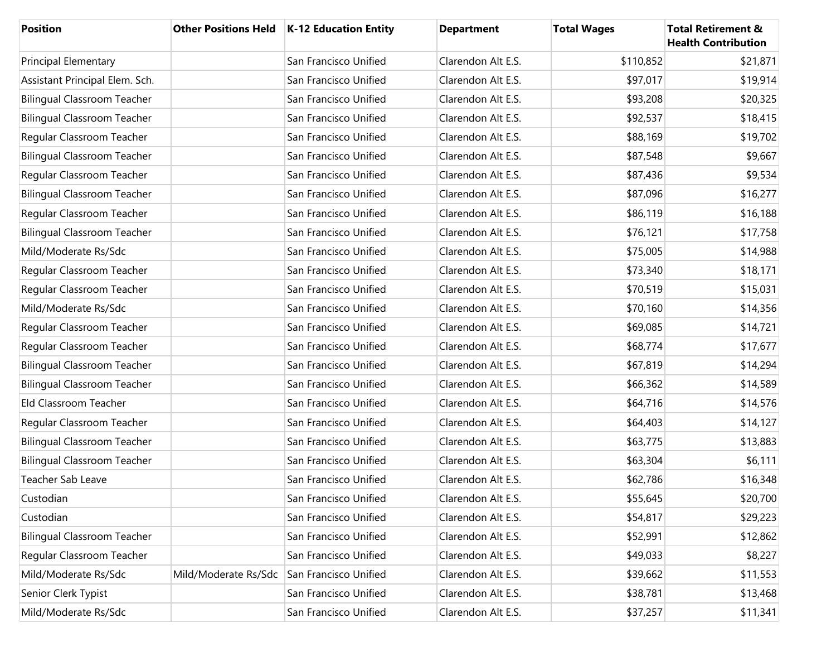| <b>Position</b>                    |                      | Other Positions Held   K-12 Education Entity | <b>Department</b>  | <b>Total Wages</b> | <b>Total Retirement &amp;</b><br><b>Health Contribution</b> |
|------------------------------------|----------------------|----------------------------------------------|--------------------|--------------------|-------------------------------------------------------------|
| <b>Principal Elementary</b>        |                      | San Francisco Unified                        | Clarendon Alt E.S. | \$110,852          | \$21,871                                                    |
| Assistant Principal Elem. Sch.     |                      | San Francisco Unified                        | Clarendon Alt E.S. | \$97,017           | \$19,914                                                    |
| <b>Bilingual Classroom Teacher</b> |                      | San Francisco Unified                        | Clarendon Alt E.S. | \$93,208           | \$20,325                                                    |
| <b>Bilingual Classroom Teacher</b> |                      | San Francisco Unified                        | Clarendon Alt E.S. | \$92,537           | \$18,415                                                    |
| Regular Classroom Teacher          |                      | San Francisco Unified                        | Clarendon Alt E.S. | \$88,169           | \$19,702                                                    |
| <b>Bilingual Classroom Teacher</b> |                      | San Francisco Unified                        | Clarendon Alt E.S. | \$87,548           | \$9,667                                                     |
| Regular Classroom Teacher          |                      | San Francisco Unified                        | Clarendon Alt E.S. | \$87,436           | \$9,534                                                     |
| <b>Bilingual Classroom Teacher</b> |                      | San Francisco Unified                        | Clarendon Alt E.S. | \$87,096           | \$16,277                                                    |
| Regular Classroom Teacher          |                      | San Francisco Unified                        | Clarendon Alt E.S. | \$86,119           | \$16,188                                                    |
| <b>Bilingual Classroom Teacher</b> |                      | San Francisco Unified                        | Clarendon Alt E.S. | \$76,121           | \$17,758                                                    |
| Mild/Moderate Rs/Sdc               |                      | San Francisco Unified                        | Clarendon Alt E.S. | \$75,005           | \$14,988                                                    |
| Regular Classroom Teacher          |                      | San Francisco Unified                        | Clarendon Alt E.S. | \$73,340           | \$18,171                                                    |
| Regular Classroom Teacher          |                      | San Francisco Unified                        | Clarendon Alt E.S. | \$70,519           | \$15,031                                                    |
| Mild/Moderate Rs/Sdc               |                      | San Francisco Unified                        | Clarendon Alt E.S. | \$70,160           | \$14,356                                                    |
| Regular Classroom Teacher          |                      | San Francisco Unified                        | Clarendon Alt E.S. | \$69,085           | \$14,721                                                    |
| Regular Classroom Teacher          |                      | San Francisco Unified                        | Clarendon Alt E.S. | \$68,774           | \$17,677                                                    |
| <b>Bilingual Classroom Teacher</b> |                      | San Francisco Unified                        | Clarendon Alt E.S. | \$67,819           | \$14,294                                                    |
| <b>Bilingual Classroom Teacher</b> |                      | San Francisco Unified                        | Clarendon Alt E.S. | \$66,362           | \$14,589                                                    |
| Eld Classroom Teacher              |                      | San Francisco Unified                        | Clarendon Alt E.S. | \$64,716           | \$14,576                                                    |
| Regular Classroom Teacher          |                      | San Francisco Unified                        | Clarendon Alt E.S. | \$64,403           | \$14,127                                                    |
| <b>Bilingual Classroom Teacher</b> |                      | San Francisco Unified                        | Clarendon Alt E.S. | \$63,775           | \$13,883                                                    |
| <b>Bilingual Classroom Teacher</b> |                      | San Francisco Unified                        | Clarendon Alt E.S. | \$63,304           | \$6,111                                                     |
| Teacher Sab Leave                  |                      | San Francisco Unified                        | Clarendon Alt E.S. | \$62,786           | \$16,348                                                    |
| Custodian                          |                      | San Francisco Unified                        | Clarendon Alt E.S. | \$55,645           | \$20,700                                                    |
| Custodian                          |                      | San Francisco Unified                        | Clarendon Alt E.S. | \$54,817           | \$29,223                                                    |
| <b>Bilingual Classroom Teacher</b> |                      | San Francisco Unified                        | Clarendon Alt E.S. | \$52,991           | \$12,862                                                    |
| Regular Classroom Teacher          |                      | San Francisco Unified                        | Clarendon Alt E.S. | \$49,033           | \$8,227                                                     |
| Mild/Moderate Rs/Sdc               | Mild/Moderate Rs/Sdc | San Francisco Unified                        | Clarendon Alt E.S. | \$39,662           | \$11,553                                                    |
| Senior Clerk Typist                |                      | San Francisco Unified                        | Clarendon Alt E.S. | \$38,781           | \$13,468                                                    |
| Mild/Moderate Rs/Sdc               |                      | San Francisco Unified                        | Clarendon Alt E.S. | \$37,257           | \$11,341                                                    |